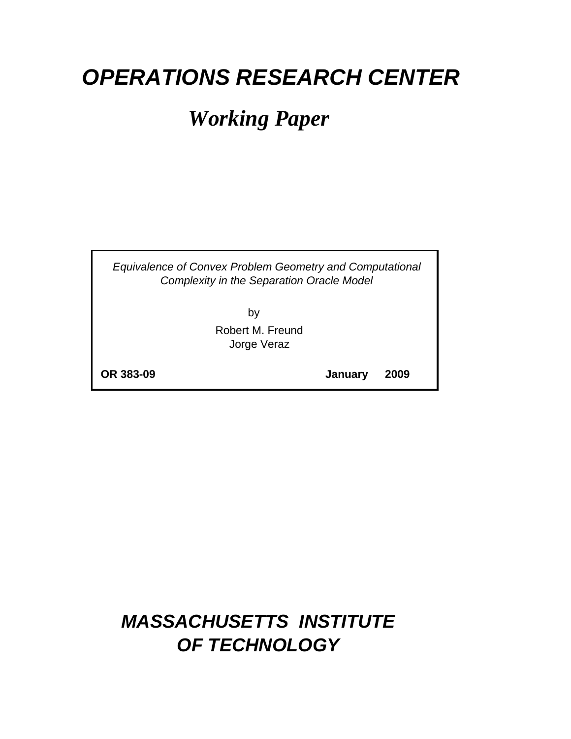# *OPERATIONS RESEARCH CENTER*

# *Working Paper*

*Equivalence of Convex Problem Geometry and Computational Complexity in the Separation Oracle Model*

> by Robert M. Freund Jorge Veraz

**OR 383-09**

**January 2009**

## *MASSACHUSETTS INSTITUTE OF TECHNOLOGY*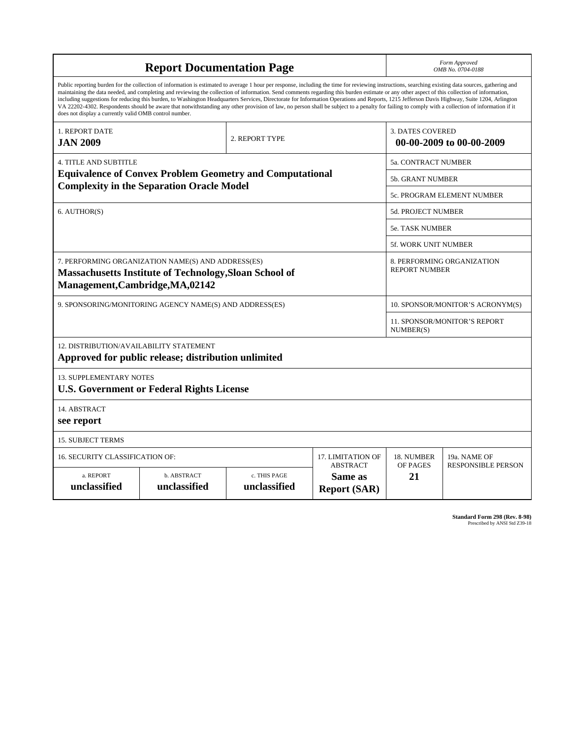| <b>Report Documentation Page</b>                                                                                                                                                                                                                                                                                                                                                                                                                                                                                                                                                                                                                                                                                                                                                                                                                                   |                             |                              |                                                   | Form Approved<br>OMB No. 0704-0188                  |                           |  |
|--------------------------------------------------------------------------------------------------------------------------------------------------------------------------------------------------------------------------------------------------------------------------------------------------------------------------------------------------------------------------------------------------------------------------------------------------------------------------------------------------------------------------------------------------------------------------------------------------------------------------------------------------------------------------------------------------------------------------------------------------------------------------------------------------------------------------------------------------------------------|-----------------------------|------------------------------|---------------------------------------------------|-----------------------------------------------------|---------------------------|--|
| Public reporting burden for the collection of information is estimated to average 1 hour per response, including the time for reviewing instructions, searching existing data sources, gathering and<br>maintaining the data needed, and completing and reviewing the collection of information. Send comments regarding this burden estimate or any other aspect of this collection of information,<br>including suggestions for reducing this burden, to Washington Headquarters Services, Directorate for Information Operations and Reports, 1215 Jefferson Davis Highway, Suite 1204, Arlington<br>VA 22202-4302. Respondents should be aware that notwithstanding any other provision of law, no person shall be subject to a penalty for failing to comply with a collection of information if it<br>does not display a currently valid OMB control number. |                             |                              |                                                   |                                                     |                           |  |
| 1. REPORT DATE<br>2. REPORT TYPE<br><b>JAN 2009</b>                                                                                                                                                                                                                                                                                                                                                                                                                                                                                                                                                                                                                                                                                                                                                                                                                |                             |                              |                                                   | <b>3. DATES COVERED</b><br>00-00-2009 to 00-00-2009 |                           |  |
| <b>4. TITLE AND SUBTITLE</b>                                                                                                                                                                                                                                                                                                                                                                                                                                                                                                                                                                                                                                                                                                                                                                                                                                       |                             |                              |                                                   | 5a. CONTRACT NUMBER                                 |                           |  |
| <b>Equivalence of Convex Problem Geometry and Computational</b><br><b>Complexity in the Separation Oracle Model</b>                                                                                                                                                                                                                                                                                                                                                                                                                                                                                                                                                                                                                                                                                                                                                |                             |                              |                                                   | <b>5b. GRANT NUMBER</b>                             |                           |  |
|                                                                                                                                                                                                                                                                                                                                                                                                                                                                                                                                                                                                                                                                                                                                                                                                                                                                    |                             |                              |                                                   | <b>5c. PROGRAM ELEMENT NUMBER</b>                   |                           |  |
| 6. AUTHOR(S)                                                                                                                                                                                                                                                                                                                                                                                                                                                                                                                                                                                                                                                                                                                                                                                                                                                       |                             |                              |                                                   | <b>5d. PROJECT NUMBER</b>                           |                           |  |
|                                                                                                                                                                                                                                                                                                                                                                                                                                                                                                                                                                                                                                                                                                                                                                                                                                                                    |                             |                              |                                                   | <b>5e. TASK NUMBER</b>                              |                           |  |
|                                                                                                                                                                                                                                                                                                                                                                                                                                                                                                                                                                                                                                                                                                                                                                                                                                                                    |                             |                              |                                                   | <b>5f. WORK UNIT NUMBER</b>                         |                           |  |
| 7. PERFORMING ORGANIZATION NAME(S) AND ADDRESS(ES)<br><b>Massachusetts Institute of Technology, Sloan School of</b><br>Management, Cambridge, MA, 02142                                                                                                                                                                                                                                                                                                                                                                                                                                                                                                                                                                                                                                                                                                            |                             |                              |                                                   | 8. PERFORMING ORGANIZATION<br><b>REPORT NUMBER</b>  |                           |  |
| 9. SPONSORING/MONITORING AGENCY NAME(S) AND ADDRESS(ES)                                                                                                                                                                                                                                                                                                                                                                                                                                                                                                                                                                                                                                                                                                                                                                                                            |                             |                              |                                                   | 10. SPONSOR/MONITOR'S ACRONYM(S)                    |                           |  |
|                                                                                                                                                                                                                                                                                                                                                                                                                                                                                                                                                                                                                                                                                                                                                                                                                                                                    |                             |                              |                                                   | 11. SPONSOR/MONITOR'S REPORT<br>NUMBER(S)           |                           |  |
| 12. DISTRIBUTION/AVAILABILITY STATEMENT<br>Approved for public release; distribution unlimited                                                                                                                                                                                                                                                                                                                                                                                                                                                                                                                                                                                                                                                                                                                                                                     |                             |                              |                                                   |                                                     |                           |  |
| <b>13. SUPPLEMENTARY NOTES</b><br><b>U.S. Government or Federal Rights License</b>                                                                                                                                                                                                                                                                                                                                                                                                                                                                                                                                                                                                                                                                                                                                                                                 |                             |                              |                                                   |                                                     |                           |  |
| 14. ABSTRACT<br>see report                                                                                                                                                                                                                                                                                                                                                                                                                                                                                                                                                                                                                                                                                                                                                                                                                                         |                             |                              |                                                   |                                                     |                           |  |
| <b>15. SUBJECT TERMS</b>                                                                                                                                                                                                                                                                                                                                                                                                                                                                                                                                                                                                                                                                                                                                                                                                                                           |                             |                              |                                                   |                                                     |                           |  |
| 16. SECURITY CLASSIFICATION OF:<br>17. LIMITATION OF                                                                                                                                                                                                                                                                                                                                                                                                                                                                                                                                                                                                                                                                                                                                                                                                               |                             |                              |                                                   | 18. NUMBER                                          | 19a. NAME OF              |  |
| a. REPORT<br>unclassified                                                                                                                                                                                                                                                                                                                                                                                                                                                                                                                                                                                                                                                                                                                                                                                                                                          | b. ABSTRACT<br>unclassified | c. THIS PAGE<br>unclassified | <b>ABSTRACT</b><br>Same as<br><b>Report (SAR)</b> | OF PAGES<br>21                                      | <b>RESPONSIBLE PERSON</b> |  |

**Standard Form 298 (Rev. 8-98)**<br>Prescribed by ANSI Std Z39-18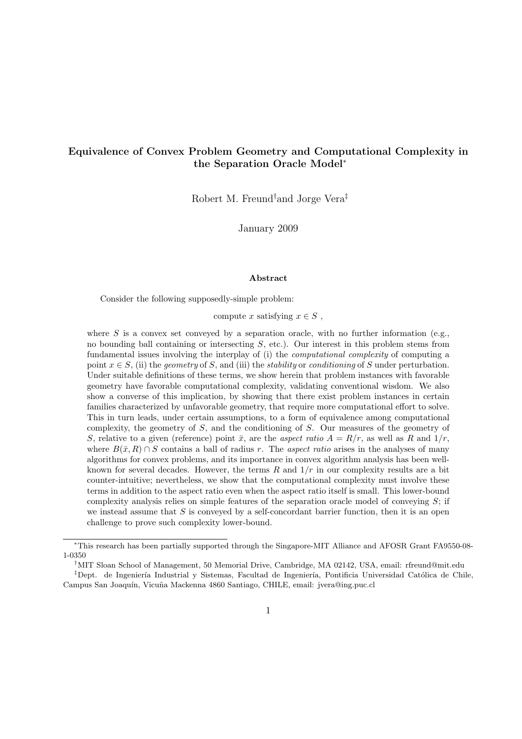## Equivalence of Convex Problem Geometry and Computational Complexity in the Separation Oracle Model<sup>∗</sup>

Robert M. Freund†and Jorge Vera‡

January 2009

#### Abstract

Consider the following supposedly-simple problem:

compute x satisfying  $x \in S$ ,

where S is a convex set conveyed by a separation oracle, with no further information (e.g., no bounding ball containing or intersecting  $S$ , etc.). Our interest in this problem stems from fundamental issues involving the interplay of (i) the computational complexity of computing a point  $x \in S$ , (ii) the geometry of S, and (iii) the *stability* or *conditioning* of S under perturbation. Under suitable definitions of these terms, we show herein that problem instances with favorable geometry have favorable computational complexity, validating conventional wisdom. We also show a converse of this implication, by showing that there exist problem instances in certain families characterized by unfavorable geometry, that require more computational effort to solve. This in turn leads, under certain assumptions, to a form of equivalence among computational complexity, the geometry of S, and the conditioning of S. Our measures of the geometry of S, relative to a given (reference) point  $\bar{x}$ , are the aspect ratio  $A = R/r$ , as well as R and  $1/r$ , where  $B(\bar{x}, R) \cap S$  contains a ball of radius r. The aspect ratio arises in the analyses of many algorithms for convex problems, and its importance in convex algorithm analysis has been wellknown for several decades. However, the terms  $R$  and  $1/r$  in our complexity results are a bit counter-intuitive; nevertheless, we show that the computational complexity must involve these terms in addition to the aspect ratio even when the aspect ratio itself is small. This lower-bound complexity analysis relies on simple features of the separation oracle model of conveying  $S$ ; if we instead assume that  $S$  is conveyed by a self-concordant barrier function, then it is an open challenge to prove such complexity lower-bound.

<sup>∗</sup>This research has been partially supported through the Singapore-MIT Alliance and AFOSR Grant FA9550-08- 1-0350

<sup>†</sup>MIT Sloan School of Management, 50 Memorial Drive, Cambridge, MA 02142, USA, email: rfreund@mit.edu

<sup>&</sup>lt;sup>‡</sup>Dept. de Ingeniería Industrial y Sistemas, Facultad de Ingeniería, Pontificia Universidad Católica de Chile, Campus San Joaquín, Vicuña Mackenna 4860 Santiago, CHILE, email: jvera@ing.puc.cl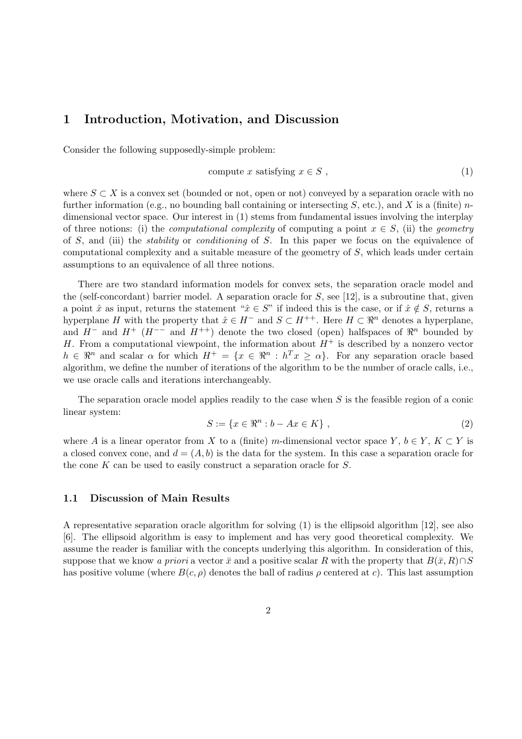## 1 Introduction, Motivation, and Discussion

Consider the following supposedly-simple problem:

$$
compute x satisfying x \in S , \t\t(1)
$$

where  $S \subset X$  is a convex set (bounded or not, open or not) conveyed by a separation oracle with no further information (e.g., no bounding ball containing or intersecting  $S$ , etc.), and  $X$  is a (finite) ndimensional vector space. Our interest in (1) stems from fundamental issues involving the interplay of three notions: (i) the *computational complexity* of computing a point  $x \in S$ , (ii) the *geometry* of S, and (iii) the *stability* or *conditioning* of S. In this paper we focus on the equivalence of computational complexity and a suitable measure of the geometry of S, which leads under certain assumptions to an equivalence of all three notions.

There are two standard information models for convex sets, the separation oracle model and the (self-concordant) barrier model. A separation oracle for  $S$ , see [12], is a subroutine that, given a point  $\hat{x}$  as input, returns the statement " $\hat{x} \in S$ " if indeed this is the case, or if  $\hat{x} \notin S$ , returns a hyperplane H with the property that  $\hat{x} \in H^-$  and  $S \subset H^{++}$ . Here  $H \subset \Re^n$  denotes a hyperplane, and  $H^-$  and  $H^+$  ( $H^{--}$  and  $H^{++}$ ) denote the two closed (open) halfspaces of  $\mathbb{R}^n$  bounded by H. From a computational viewpoint, the information about  $H^+$  is described by a nonzero vector  $h \in \mathbb{R}^n$  and scalar  $\alpha$  for which  $H^+ = \{x \in \mathbb{R}^n : h^T x \geq \alpha\}$ . For any separation oracle based algorithm, we define the number of iterations of the algorithm to be the number of oracle calls, i.e., we use oracle calls and iterations interchangeably.

The separation oracle model applies readily to the case when  $S$  is the feasible region of a conic linear system:

$$
S := \{ x \in \mathbb{R}^n : b - Ax \in K \}, \tag{2}
$$

where A is a linear operator from X to a (finite) m-dimensional vector space Y,  $b \in Y$ ,  $K \subset Y$  is a closed convex cone, and  $d = (A, b)$  is the data for the system. In this case a separation oracle for the cone K can be used to easily construct a separation oracle for S.

### 1.1 Discussion of Main Results

A representative separation oracle algorithm for solving (1) is the ellipsoid algorithm [12], see also [6]. The ellipsoid algorithm is easy to implement and has very good theoretical complexity. We assume the reader is familiar with the concepts underlying this algorithm. In consideration of this, suppose that we know a priori a vector  $\bar{x}$  and a positive scalar R with the property that  $B(\bar{x}, R) \cap S$ has positive volume (where  $B(c, \rho)$  denotes the ball of radius  $\rho$  centered at c). This last assumption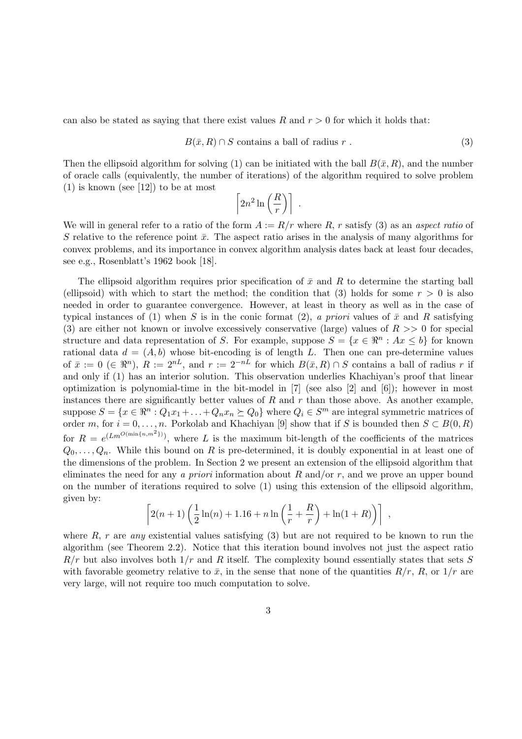can also be stated as saying that there exist values R and  $r > 0$  for which it holds that:

$$
B(\bar{x}, R) \cap S \text{ contains a ball of radius } r . \tag{3}
$$

Then the ellipsoid algorithm for solving (1) can be initiated with the ball  $B(\bar{x}, R)$ , and the number of oracle calls (equivalently, the number of iterations) of the algorithm required to solve problem  $(1)$  is known (see [12]) to be at most

$$
\left\lceil 2n^2\ln\left(\frac{R}{r}\right)\right\rceil \ .
$$

We will in general refer to a ratio of the form  $A := R/r$  where R, r satisfy (3) as an aspect ratio of S relative to the reference point  $\bar{x}$ . The aspect ratio arises in the analysis of many algorithms for convex problems, and its importance in convex algorithm analysis dates back at least four decades, see e.g., Rosenblatt's 1962 book [18].

The ellipsoid algorithm requires prior specification of  $\bar{x}$  and R to determine the starting ball (ellipsoid) with which to start the method; the condition that (3) holds for some  $r > 0$  is also needed in order to guarantee convergence. However, at least in theory as well as in the case of typical instances of (1) when S is in the conic format (2), a priori values of  $\bar{x}$  and R satisfying (3) are either not known or involve excessively conservative (large) values of  $R \gg 0$  for special structure and data representation of S. For example, suppose  $S = \{x \in \mathbb{R}^n : Ax \leq b\}$  for known rational data  $d = (A, b)$  whose bit-encoding is of length L. Then one can pre-determine values of  $\bar{x} := 0 \ (\in \mathbb{R}^n)$ ,  $R := 2^{nL}$ , and  $r := 2^{-nL}$  for which  $B(\bar{x}, R) \cap S$  contains a ball of radius r if and only if (1) has an interior solution. This observation underlies Khachiyan's proof that linear optimization is polynomial-time in the bit-model in [7] (see also [2] and [6]); however in most instances there are significantly better values of  $R$  and  $r$  than those above. As another example, suppose  $S = \{x \in \mathbb{R}^n : Q_1x_1 + \ldots + Q_nx_n \succeq Q_0\}$  where  $Q_i \in S^m$  are integral symmetric matrices of order m, for  $i = 0, \ldots, n$ . Porkolab and Khachiyan [9] show that if S is bounded then  $S \subset B(0, R)$ for  $R = e^{(Lm^{O(\min\{n,m^2\})})}$ , where L is the maximum bit-length of the coefficients of the matrices  $Q_0, \ldots, Q_n$ . While this bound on R is pre-determined, it is doubly exponential in at least one of the dimensions of the problem. In Section 2 we present an extension of the ellipsoid algorithm that eliminates the need for any a priori information about  $R$  and/or  $r$ , and we prove an upper bound on the number of iterations required to solve (1) using this extension of the ellipsoid algorithm, given by:

$$
\[2(n+1)\left(\frac{1}{2}\ln(n) + 1.16 + n\ln\left(\frac{1}{r} + \frac{R}{r}\right) + \ln(1+R)\right)\],\]
$$

where R, r are any existential values satisfying  $(3)$  but are not required to be known to run the algorithm (see Theorem 2.2). Notice that this iteration bound involves not just the aspect ratio  $R/r$  but also involves both  $1/r$  and R itself. The complexity bound essentially states that sets S with favorable geometry relative to  $\bar{x}$ , in the sense that none of the quantities  $R/r$ , R, or  $1/r$  are very large, will not require too much computation to solve.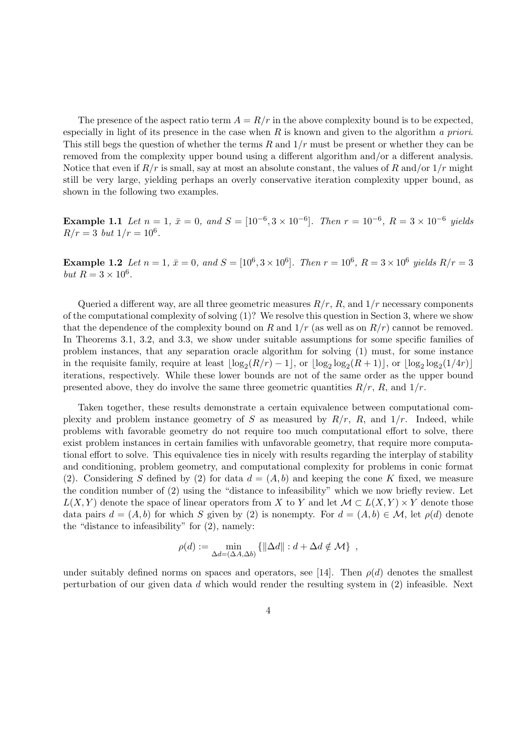The presence of the aspect ratio term  $A = R/r$  in the above complexity bound is to be expected, especially in light of its presence in the case when R is known and given to the algorithm a priori. This still begs the question of whether the terms  $R$  and  $1/r$  must be present or whether they can be removed from the complexity upper bound using a different algorithm and/or a different analysis. Notice that even if  $R/r$  is small, say at most an absolute constant, the values of R and/or  $1/r$  might still be very large, yielding perhaps an overly conservative iteration complexity upper bound, as shown in the following two examples.

**Example 1.1** Let  $n = 1$ ,  $\bar{x} = 0$ , and  $S = [10^{-6}, 3 \times 10^{-6}]$ . Then  $r = 10^{-6}$ ,  $R = 3 \times 10^{-6}$  yields  $R/r = 3$  but  $1/r = 10^6$ .

**Example 1.2** Let  $n = 1$ ,  $\bar{x} = 0$ , and  $S = [10^6, 3 \times 10^6]$ . Then  $r = 10^6$ ,  $R = 3 \times 10^6$  yields  $R/r = 3$ but  $R = 3 \times 10^6$ .

Queried a different way, are all three geometric measures  $R/r$ , R, and  $1/r$  necessary components of the computational complexity of solving (1)? We resolve this question in Section 3, where we show that the dependence of the complexity bound on R and  $1/r$  (as well as on  $R/r$ ) cannot be removed. In Theorems 3.1, 3.2, and 3.3, we show under suitable assumptions for some specific families of problem instances, that any separation oracle algorithm for solving (1) must, for some instance in the requisite family, require at least  $\lfloor \log_2(R/r) - 1 \rfloor$ , or  $\lfloor \log_2 \log_2(R+1) \rfloor$ , or  $\lfloor \log_2 \log_2(1/4r) \rfloor$ iterations, respectively. While these lower bounds are not of the same order as the upper bound presented above, they do involve the same three geometric quantities  $R/r$ , R, and  $1/r$ .

Taken together, these results demonstrate a certain equivalence between computational complexity and problem instance geometry of S as measured by  $R/r$ , R, and  $1/r$ . Indeed, while problems with favorable geometry do not require too much computational effort to solve, there exist problem instances in certain families with unfavorable geometry, that require more computational effort to solve. This equivalence ties in nicely with results regarding the interplay of stability and conditioning, problem geometry, and computational complexity for problems in conic format (2). Considering S defined by (2) for data  $d = (A, b)$  and keeping the cone K fixed, we measure the condition number of (2) using the "distance to infeasibility" which we now briefly review. Let  $L(X, Y)$  denote the space of linear operators from X to Y and let  $\mathcal{M} \subset L(X, Y) \times Y$  denote those data pairs  $d = (A, b)$  for which S given by (2) is nonempty. For  $d = (A, b) \in \mathcal{M}$ , let  $\rho(d)$  denote the "distance to infeasibility" for (2), namely:

$$
\rho(d) := \min_{\Delta d = (\Delta A, \Delta b)} \{ ||\Delta d|| : d + \Delta d \notin \mathcal{M} \},
$$

under suitably defined norms on spaces and operators, see [14]. Then  $\rho(d)$  denotes the smallest perturbation of our given data d which would render the resulting system in (2) infeasible. Next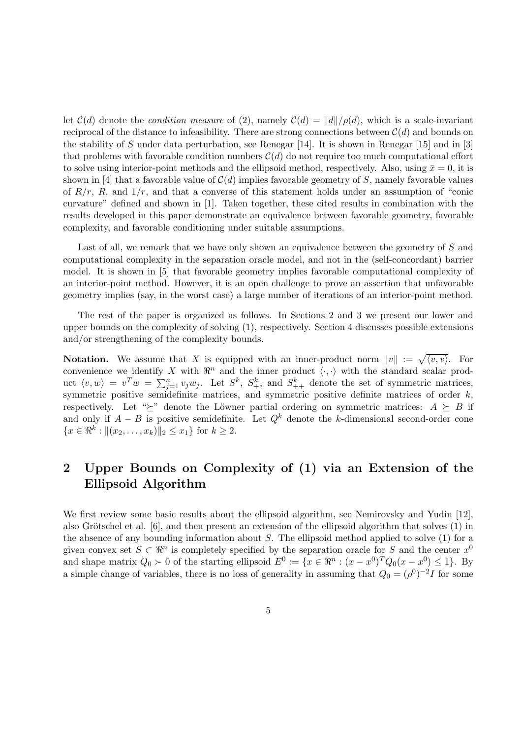let  $\mathcal{C}(d)$  denote the *condition measure* of (2), namely  $\mathcal{C}(d) = ||d||/\rho(d)$ , which is a scale-invariant reciprocal of the distance to infeasibility. There are strong connections between  $\mathcal{C}(d)$  and bounds on the stability of S under data perturbation, see Renegar [14]. It is shown in Renegar [15] and in [3] that problems with favorable condition numbers  $\mathcal{C}(d)$  do not require too much computational effort to solve using interior-point methods and the ellipsoid method, respectively. Also, using  $\bar{x} = 0$ , it is shown in [4] that a favorable value of  $C(d)$  implies favorable geometry of S, namely favorable values of  $R/r$ , R, and  $1/r$ , and that a converse of this statement holds under an assumption of "conic curvature" defined and shown in [1]. Taken together, these cited results in combination with the results developed in this paper demonstrate an equivalence between favorable geometry, favorable complexity, and favorable conditioning under suitable assumptions.

Last of all, we remark that we have only shown an equivalence between the geometry of S and computational complexity in the separation oracle model, and not in the (self-concordant) barrier model. It is shown in [5] that favorable geometry implies favorable computational complexity of an interior-point method. However, it is an open challenge to prove an assertion that unfavorable geometry implies (say, in the worst case) a large number of iterations of an interior-point method.

The rest of the paper is organized as follows. In Sections 2 and 3 we present our lower and upper bounds on the complexity of solving (1), respectively. Section 4 discusses possible extensions and/or strengthening of the complexity bounds.

**Notation.** We assume that X is equipped with an inner-product norm  $||v|| := \sqrt{\langle v, v \rangle}$ . For convenience we identify X with  $\mathbb{R}^n$  and the inner product  $\langle \cdot, \cdot \rangle$  with the standard scalar product  $\langle v, w \rangle = v^T w = \sum_{j=1}^n v_j w_j$ . Let  $S^k$ ,  $S^k_+$ , and  $S^k_{++}$  denote the set of symmetric matrices, symmetric positive semidefinite matrices, and symmetric positive definite matrices of order  $k$ , respectively. Let " $\succeq$ " denote the Löwner partial ordering on symmetric matrices:  $A \succeq B$  if and only if  $A - B$  is positive semidefinite. Let  $Q<sup>k</sup>$  denote the k-dimensional second-order cone  ${x \in \Re^k : || (x_2, \ldots, x_k)||_2 \leq x_1}$  for  $k \geq 2$ .

## 2 Upper Bounds on Complexity of (1) via an Extension of the Ellipsoid Algorithm

We first review some basic results about the ellipsoid algorithm, see Nemirovsky and Yudin [12]. also Grötschel et al.  $[6]$ , and then present an extension of the ellipsoid algorithm that solves  $(1)$  in the absence of any bounding information about  $S$ . The ellipsoid method applied to solve  $(1)$  for a given convex set  $S \subset \mathbb{R}^n$  is completely specified by the separation oracle for S and the center  $x^0$ and shape matrix  $Q_0 \succ 0$  of the starting ellipsoid  $E^0 := \{x \in \Re^n : (x - x^0)^T Q_0 (x - x^0) \leq 1\}$ . By a simple change of variables, there is no loss of generality in assuming that  $Q_0 = (\rho^0)^{-2}I$  for some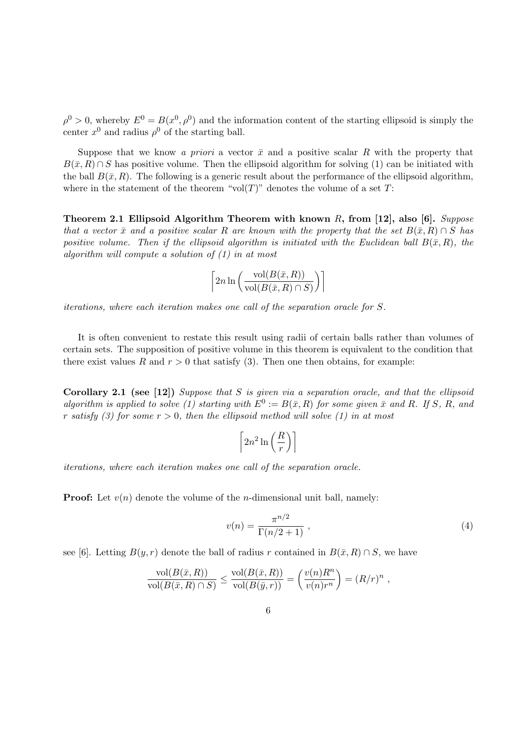$\rho^0 > 0$ , whereby  $E^0 = B(x^0, \rho^0)$  and the information content of the starting ellipsoid is simply the center  $x^0$  and radius  $\rho^0$  of the starting ball.

Suppose that we know a priori a vector  $\bar{x}$  and a positive scalar R with the property that  $B(\bar{x}, R) \cap S$  has positive volume. Then the ellipsoid algorithm for solving (1) can be initiated with the ball  $B(\bar{x}, R)$ . The following is a generic result about the performance of the ellipsoid algorithm, where in the statement of the theorem "vol $(T)$ " denotes the volume of a set T:

Theorem 2.1 Ellipsoid Algorithm Theorem with known R, from [12], also [6]. Suppose that a vector  $\bar{x}$  and a positive scalar R are known with the property that the set  $B(\bar{x}, R) \cap S$  has positive volume. Then if the ellipsoid algorithm is initiated with the Euclidean ball  $B(\bar{x}, R)$ , the algorithm will compute a solution of (1) in at most

$$
\left[2n\ln\left(\frac{\text{vol}(B(\bar{x}, R))}{\text{vol}(B(\bar{x}, R) \cap S)}\right)\right]
$$

iterations, where each iteration makes one call of the separation oracle for S.

It is often convenient to restate this result using radii of certain balls rather than volumes of certain sets. The supposition of positive volume in this theorem is equivalent to the condition that there exist values R and  $r > 0$  that satisfy (3). Then one then obtains, for example:

Corollary 2.1 (see [12]) Suppose that S is given via a separation oracle, and that the ellipsoid algorithm is applied to solve (1) starting with  $E^0 := B(\bar{x}, R)$  for some given  $\bar{x}$  and R. If S, R, and r satisfy (3) for some  $r > 0$ , then the ellipsoid method will solve (1) in at most

$$
\left\lceil 2n^2 \ln\left(\frac{R}{r}\right) \right\rceil
$$

iterations, where each iteration makes one call of the separation oracle.

**Proof:** Let  $v(n)$  denote the volume of the *n*-dimensional unit ball, namely:

$$
v(n) = \frac{\pi^{n/2}}{\Gamma(n/2 + 1)} \tag{4}
$$

see [6]. Letting  $B(y, r)$  denote the ball of radius r contained in  $B(\bar{x}, R) \cap S$ , we have

$$
\frac{\text{vol}(B(\bar{x}, R))}{\text{vol}(B(\bar{x}, R) \cap S)} \le \frac{\text{vol}(B(\bar{x}, R))}{\text{vol}(B(\bar{y}, r))} = \left(\frac{v(n)R^n}{v(n)r^n}\right) = (R/r)^n,
$$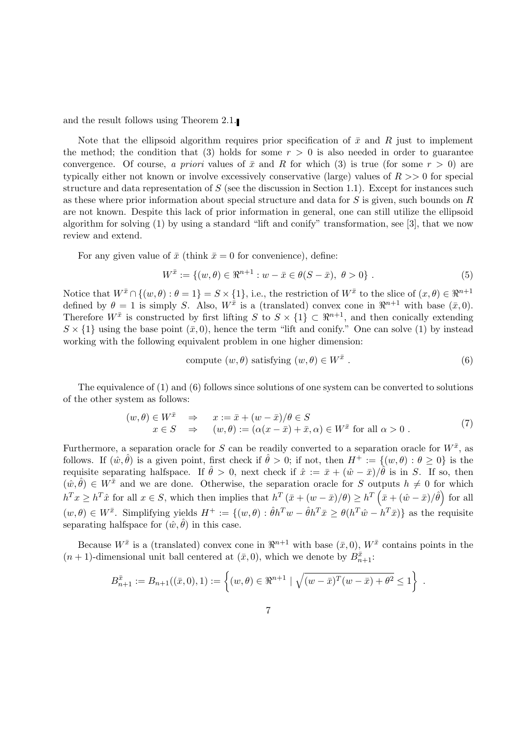and the result follows using Theorem 2.1.

Note that the ellipsoid algorithm requires prior specification of  $\bar{x}$  and R just to implement the method; the condition that (3) holds for some  $r > 0$  is also needed in order to guarantee convergence. Of course, a priori values of  $\bar{x}$  and R for which (3) is true (for some  $r > 0$ ) are typically either not known or involve excessively conservative (large) values of  $R \gg 0$  for special structure and data representation of  $S$  (see the discussion in Section 1.1). Except for instances such as these where prior information about special structure and data for S is given, such bounds on R are not known. Despite this lack of prior information in general, one can still utilize the ellipsoid algorithm for solving  $(1)$  by using a standard "lift and conify" transformation, see [3], that we now review and extend.

For any given value of  $\bar{x}$  (think  $\bar{x} = 0$  for convenience), define:

$$
W^{\bar{x}} := \{ (w, \theta) \in \Re^{n+1} : w - \bar{x} \in \theta(S - \bar{x}), \ \theta > 0 \} .
$$
 (5)

Notice that  $W^{\bar{x}} \cap \{(w,\theta): \theta = 1\} = S \times \{1\}$ , i.e., the restriction of  $W^{\bar{x}}$  to the slice of  $(x,\theta) \in \Re^{n+1}$ defined by  $\theta = 1$  is simply S. Also,  $W^{\bar{x}}$  is a (translated) convex cone in  $\Re^{n+1}$  with base  $(\bar{x}, 0)$ . Therefore  $W^{\bar{x}}$  is constructed by first lifting S to  $S \times \{1\} \subset \mathbb{R}^{n+1}$ , and then conically extending  $S \times \{1\}$  using the base point  $(\bar{x}, 0)$ , hence the term "lift and conify." One can solve (1) by instead working with the following equivalent problem in one higher dimension:

compute 
$$
(w, \theta)
$$
 satisfying  $(w, \theta) \in W^{\bar{x}}$ . (6)

The equivalence of (1) and (6) follows since solutions of one system can be converted to solutions of the other system as follows:

$$
(w,\theta) \in W^{\bar{x}} \Rightarrow x := \bar{x} + (w - \bar{x})/\theta \in S
$$
  
\n
$$
x \in S \Rightarrow (w,\theta) := (\alpha(x - \bar{x}) + \bar{x}, \alpha) \in W^{\bar{x}} \text{ for all } \alpha > 0.
$$
 (7)

Furthermore, a separation oracle for S can be readily converted to a separation oracle for  $W^{\bar{x}}$ , as follows. If  $(\hat{w}, \hat{\theta})$  is a given point, first check if  $\hat{\theta} > 0$ ; if not, then  $H^+ := \{(w, \theta) : \theta \ge 0\}$  is the requisite separating halfspace. If  $\hat{\theta} > 0$ , next check if  $\hat{x} := \bar{x} + (\hat{w} - \bar{x})/\hat{\theta}$  is in S. If so, then  $(w, \hat{\theta}) \in W^{\bar{x}}$  and we are done. Otherwise, the separation oracle for S outputs  $h \neq 0$  for which  $h^T x \ge h^T \hat{x}$  for all  $x \in S$ , which then implies that  $h^T (\bar{x} + (w - \bar{x})/\theta) \ge h^T (\bar{x} + (\hat{w} - \bar{x})/\hat{\theta})$  for all  $(w,\theta) \in W^{\bar{x}}$ . Simplifying yields  $H^+ := \{(w,\theta) : \hat{\theta}h^Tw - \hat{\theta}h^T\bar{x} \geq \theta(h^T\hat{w} - h^T\bar{x})\}$  as the requisite separating halfspace for  $(\hat{w}, \hat{\theta})$  in this case.

Because  $W^{\bar{x}}$  is a (translated) convex cone in  $\mathbb{R}^{n+1}$  with base  $(\bar{x},0)$ ,  $W^{\bar{x}}$  contains points in the  $(n+1)$ -dimensional unit ball centered at  $(\bar{x}, 0)$ , which we denote by  $B_{n+1}^{\bar{x}}$ .

$$
B_{n+1}^{\bar{x}} := B_{n+1}((\bar{x}, 0), 1) := \left\{ (w, \theta) \in \Re^{n+1} \mid \sqrt{(w - \bar{x})^T (w - \bar{x}) + \theta^2} \le 1 \right\}.
$$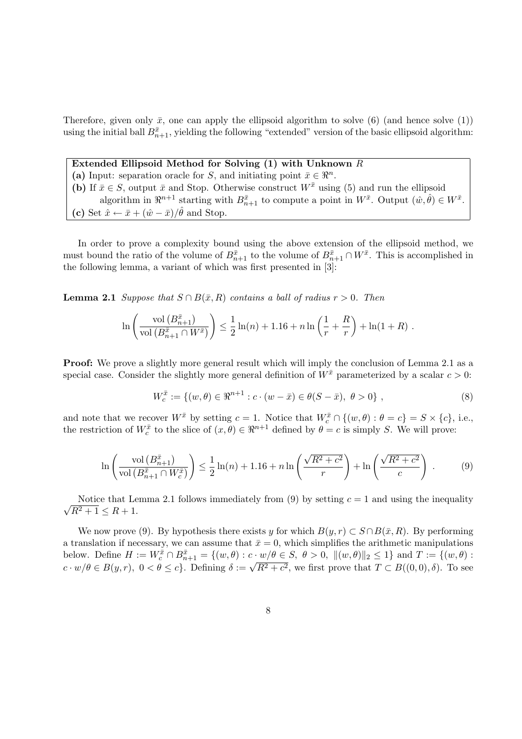Therefore, given only  $\bar{x}$ , one can apply the ellipsoid algorithm to solve (6) (and hence solve (1)) using the initial ball  $B_{n+1}^{\bar{x}}$ , yielding the following "extended" version of the basic ellipsoid algorithm:

### Extended Ellipsoid Method for Solving (1) with Unknown R

(a) Input: separation oracle for S, and initiating point  $\bar{x} \in \mathbb{R}^n$ . (b) If  $\bar{x} \in S$ , output  $\bar{x}$  and Stop. Otherwise construct  $W^{\bar{x}}$  using (5) and run the ellipsoid algorithm in  $\mathbb{R}^{n+1}$  starting with  $B_{n+1}^{\bar{x}}$  to compute a point in  $W^{\bar{x}}$ . Output  $(\hat{w}, \hat{\theta}) \in W^{\bar{x}}$ . (c) Set  $\hat{x} \leftarrow \bar{x} + (\hat{w} - \bar{x})/\hat{\theta}$  and Stop.

In order to prove a complexity bound using the above extension of the ellipsoid method, we must bound the ratio of the volume of  $B_{n+1}^{\bar{x}}$  to the volume of  $B_{n+1}^{\bar{x}} \cap W^{\bar{x}}$ . This is accomplished in the following lemma, a variant of which was first presented in [3]:

**Lemma 2.1** Suppose that  $S \cap B(\bar{x}, R)$  contains a ball of radius  $r > 0$ . Then

$$
\ln\left(\frac{\text{vol}\left(B_{n+1}^{\bar{x}}\right)}{\text{vol}\left(B_{n+1}^{\bar{x}}\cap W^{\bar{x}}\right)}\right) \leq \frac{1}{2}\ln(n) + 1.16 + n\ln\left(\frac{1}{r} + \frac{R}{r}\right) + \ln(1+R) .
$$

**Proof:** We prove a slightly more general result which will imply the conclusion of Lemma 2.1 as a special case. Consider the slightly more general definition of  $W^{\bar{x}}$  parameterized by a scalar  $c > 0$ :

$$
W_c^{\bar{x}} := \{ (w, \theta) \in \mathbb{R}^{n+1} : c \cdot (w - \bar{x}) \in \theta(S - \bar{x}), \ \theta > 0 \},\tag{8}
$$

and note that we recover  $W^{\bar{x}}$  by setting  $c = 1$ . Notice that  $W_c^{\bar{x}} \cap \{(w, \theta) : \theta = c\} = S \times \{c\}$ , i.e., the restriction of  $W_c^{\bar{x}}$  to the slice of  $(x, \theta) \in \Re^{n+1}$  defined by  $\theta = c$  is simply S. We will prove:

$$
\ln\left(\frac{\operatorname{vol}\left(B_{n+1}^{\bar{x}}\right)}{\operatorname{vol}\left(B_{n+1}^{\bar{x}}\cap W_c^{\bar{x}}\right)}\right) \leq \frac{1}{2}\ln(n) + 1.16 + n\ln\left(\frac{\sqrt{R^2+c^2}}{r}\right) + \ln\left(\frac{\sqrt{R^2+c^2}}{c}\right) \tag{9}
$$

√ Notice that Lemma 2.1 follows immediately from (9) by setting  $c = 1$  and using the inequality  $R^2 + 1 \le R + 1.$ 

We now prove (9). By hypothesis there exists y for which  $B(y, r) \subset S \cap B(\bar{x}, R)$ . By performing a translation if necessary, we can assume that  $\bar{x} = 0$ , which simplifies the arithmetic manipulations below. Define  $H := W_c^{\bar{x}} \cap B_{n+1}^{\bar{x}} = \{(w, \theta) : c \cdot w/\theta \in S, \ \theta > 0, \ \| (w, \theta) \|_2 \leq 1 \}$  and  $T := \{(w, \theta) : c \cdot w/\theta \in S, \ \theta > 0, \ \| (w, \theta) \|_2 \leq 1 \}$ below. Define  $H := W_c + B_{n+1} = \{(w, v) : c \cdot w/v \in B, v > 0, \|((w, v)||_2) \le 1\}$  and  $T := \{(w, v) : c \cdot w/v \in B(y, r), 0 < \theta \le c\}$ . Defining  $\delta := \sqrt{R^2 + c^2}$ , we first prove that  $T \subset B((0, 0), \delta)$ . To see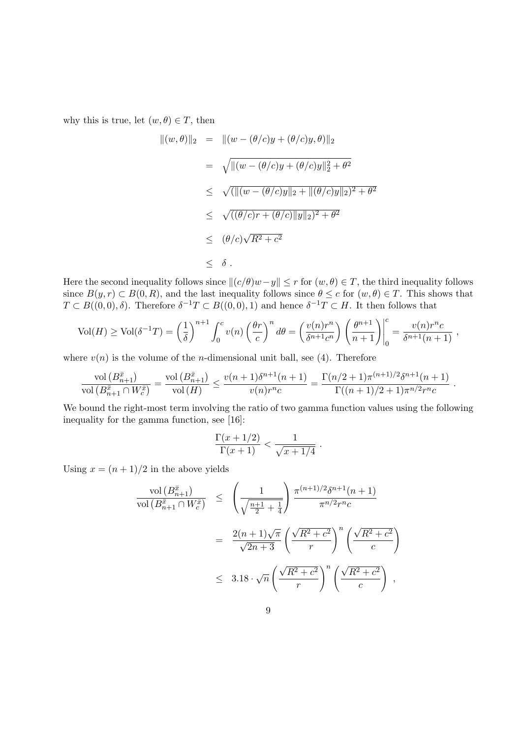why this is true, let  $(w, \theta) \in T$ , then

$$
\begin{array}{rcl}\n\|(w,\theta)\|_2 & = & \|(w - (\theta/c)y + (\theta/c)y, \theta)\|_2 \\
& = & \sqrt{\|(w - (\theta/c)y + (\theta/c)y\|_2^2 + \theta^2} \\
& \leq & \sqrt{\|\|(w - (\theta/c)y\|_2 + \|(\theta/c)y\|_2)^2 + \theta^2} \\
& \leq & \sqrt{((\theta/c)r + (\theta/c)\|y\|_2)^2 + \theta^2} \\
& \leq & (\theta/c)\sqrt{R^2 + c^2} \\
& \leq & \delta \,.\n\end{array}
$$

Here the second inequality follows since  $||(c/\theta)w-y|| \leq r$  for  $(w, \theta) \in T$ , the third inequality follows since  $B(y, r) \subset B(0, R)$ , and the last inequality follows since  $\theta \leq c$  for  $(w, \theta) \in T$ . This shows that  $T \subset B((0,0),\delta)$ . Therefore  $\delta^{-1}T \subset B((0,0),1)$  and hence  $\delta^{-1}T \subset H$ . It then follows that

$$
\text{Vol}(H) \ge \text{Vol}(\delta^{-1}T) = \left(\frac{1}{\delta}\right)^{n+1} \int_0^c v(n) \left(\frac{\theta r}{c}\right)^n d\theta = \left(\frac{v(n)r^n}{\delta^{n+1}c^n}\right) \left(\frac{\theta^{n+1}}{n+1}\right)\Big|_0^c = \frac{v(n)r^n c}{\delta^{n+1}(n+1)},
$$

where  $v(n)$  is the volume of the *n*-dimensional unit ball, see (4). Therefore

$$
\frac{\text{vol}\left(B_{n+1}^{\bar{x}}\right)}{\text{vol}\left(B_{n+1}^{\bar{x}} \cap W_c^{\bar{x}}\right)} = \frac{\text{vol}\left(B_{n+1}^{\bar{x}}\right)}{\text{vol}\left(H\right)} \le \frac{v(n+1)\delta^{n+1}(n+1)}{v(n)r^nc} = \frac{\Gamma(n/2+1)\pi^{(n+1)/2}\delta^{n+1}(n+1)}{\Gamma((n+1)/2+1)\pi^{n/2}r^nc}
$$

.

We bound the right-most term involving the ratio of two gamma function values using the following inequality for the gamma function, see [16]:

$$
\frac{\Gamma(x+1/2)}{\Gamma(x+1)} < \frac{1}{\sqrt{x+1/4}} \; .
$$

Using  $x = (n + 1)/2$  in the above yields

$$
\frac{\text{vol}(B_{n+1}^{\bar{x}})}{\text{vol}(B_{n+1}^{\bar{x}} \cap W_c^{\bar{x}})} \leq \left(\frac{1}{\sqrt{\frac{n+1}{2} + \frac{1}{4}}}\right) \frac{\pi^{(n+1)/2} \delta^{n+1}(n+1)}{\pi^{n/2} r^n c}
$$
\n
$$
= \frac{2(n+1)\sqrt{\pi}}{\sqrt{2n+3}} \left(\frac{\sqrt{R^2 + c^2}}{r}\right)^n \left(\frac{\sqrt{R^2 + c^2}}{c}\right)
$$
\n
$$
\leq 3.18 \cdot \sqrt{n} \left(\frac{\sqrt{R^2 + c^2}}{r}\right)^n \left(\frac{\sqrt{R^2 + c^2}}{c}\right),
$$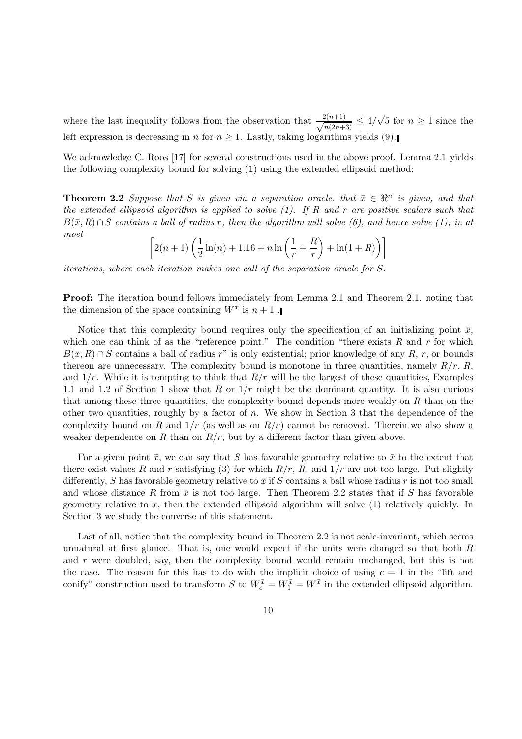where the last inequality follows from the observation that  $\frac{2(n+1)}{\sqrt{2n+1}}$  $\frac{2(n+1)}{n(2n+3)} \leq 4/$ √ 5 for  $n \geq 1$  since the left expression is decreasing in n for  $n \geq 1$ . Lastly, taking logarithms yields (9).

We acknowledge C. Roos [17] for several constructions used in the above proof. Lemma 2.1 yields the following complexity bound for solving (1) using the extended ellipsoid method:

**Theorem 2.2** Suppose that S is given via a separation oracle, that  $\bar{x} \in \mathbb{R}^n$  is given, and that the extended ellipsoid algorithm is applied to solve  $(1)$ . If R and r are positive scalars such that  $B(\bar{x}, R) \cap S$  contains a ball of radius r, then the algorithm will solve (6), and hence solve (1), in at most

$$
\[2(n+1)\left(\frac{1}{2}\ln(n) + 1.16 + n\ln\left(\frac{1}{r} + \frac{R}{r}\right) + \ln(1+R)\right)\]
$$

iterations, where each iteration makes one call of the separation oracle for S.

Proof: The iteration bound follows immediately from Lemma 2.1 and Theorem 2.1, noting that the dimension of the space containing  $W^{\bar{x}}$  is  $n+1$ .

Notice that this complexity bound requires only the specification of an initializing point  $\bar{x}$ , which one can think of as the "reference point." The condition "there exists  $R$  and  $r$  for which  $B(\bar{x}, R) \cap S$  contains a ball of radius r" is only existential; prior knowledge of any R, r, or bounds thereon are unnecessary. The complexity bound is monotone in three quantities, namely  $R/r$ , R, and  $1/r$ . While it is tempting to think that  $R/r$  will be the largest of these quantities, Examples 1.1 and 1.2 of Section 1 show that R or  $1/r$  might be the dominant quantity. It is also curious that among these three quantities, the complexity bound depends more weakly on  $R$  than on the other two quantities, roughly by a factor of n. We show in Section 3 that the dependence of the complexity bound on R and  $1/r$  (as well as on  $R/r$ ) cannot be removed. Therein we also show a weaker dependence on R than on  $R/r$ , but by a different factor than given above.

For a given point  $\bar{x}$ , we can say that S has favorable geometry relative to  $\bar{x}$  to the extent that there exist values R and r satisfying (3) for which  $R/r$ , R, and  $1/r$  are not too large. Put slightly differently, S has favorable geometry relative to  $\bar{x}$  if S contains a ball whose radius r is not too small and whose distance R from  $\bar{x}$  is not too large. Then Theorem 2.2 states that if S has favorable geometry relative to  $\bar{x}$ , then the extended ellipsoid algorithm will solve (1) relatively quickly. In Section 3 we study the converse of this statement.

Last of all, notice that the complexity bound in Theorem 2.2 is not scale-invariant, which seems unnatural at first glance. That is, one would expect if the units were changed so that both R and r were doubled, say, then the complexity bound would remain unchanged, but this is not the case. The reason for this has to do with the implicit choice of using  $c = 1$  in the "lift and conify" construction used to transform S to  $W_c^{\bar{x}} = W_1^{\bar{x}} = W^{\bar{x}}$  in the extended ellipsoid algorithm.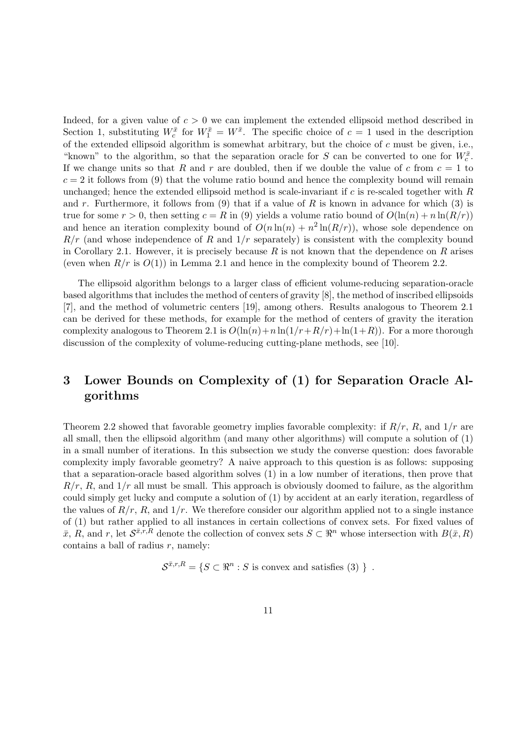Indeed, for a given value of  $c > 0$  we can implement the extended ellipsoid method described in Section 1, substituting  $W_c^{\bar{x}}$  for  $W_1^{\bar{x}} = W^{\bar{x}}$ . The specific choice of  $c = 1$  used in the description of the extended ellipsoid algorithm is somewhat arbitrary, but the choice of  $c$  must be given, i.e., "known" to the algorithm, so that the separation oracle for S can be converted to one for  $W_c^{\bar{x}}$ . If we change units so that R and r are doubled, then if we double the value of c from  $c = 1$  to  $c = 2$  it follows from (9) that the volume ratio bound and hence the complexity bound will remain unchanged; hence the extended ellipsoid method is scale-invariant if c is re-scaled together with R and r. Furthermore, it follows from (9) that if a value of R is known in advance for which (3) is true for some  $r > 0$ , then setting  $c = R$  in (9) yields a volume ratio bound of  $O(\ln(n) + n \ln(R/r))$ and hence an iteration complexity bound of  $O(n \ln(n) + n^2 \ln(R/r))$ , whose sole dependence on  $R/r$  (and whose independence of R and  $1/r$  separately) is consistent with the complexity bound in Corollary 2.1. However, it is precisely because R is not known that the dependence on R arises (even when  $R/r$  is  $O(1)$ ) in Lemma 2.1 and hence in the complexity bound of Theorem 2.2.

The ellipsoid algorithm belongs to a larger class of efficient volume-reducing separation-oracle based algorithms that includes the method of centers of gravity [8], the method of inscribed ellipsoids [7], and the method of volumetric centers [19], among others. Results analogous to Theorem 2.1 can be derived for these methods, for example for the method of centers of gravity the iteration complexity analogous to Theorem 2.1 is  $O(\ln(n)+n\ln(1/r+R/r)+\ln(1+R))$ . For a more thorough discussion of the complexity of volume-reducing cutting-plane methods, see [10].

## 3 Lower Bounds on Complexity of (1) for Separation Oracle Algorithms

Theorem 2.2 showed that favorable geometry implies favorable complexity: if  $R/r$ , R, and  $1/r$  are all small, then the ellipsoid algorithm (and many other algorithms) will compute a solution of (1) in a small number of iterations. In this subsection we study the converse question: does favorable complexity imply favorable geometry? A naive approach to this question is as follows: supposing that a separation-oracle based algorithm solves (1) in a low number of iterations, then prove that  $R/r$ , R, and  $1/r$  all must be small. This approach is obviously doomed to failure, as the algorithm could simply get lucky and compute a solution of (1) by accident at an early iteration, regardless of the values of  $R/r$ , R, and  $1/r$ . We therefore consider our algorithm applied not to a single instance of (1) but rather applied to all instances in certain collections of convex sets. For fixed values of  $\bar{x}, R$ , and r, let  $\mathcal{S}^{\bar{x},r,R}$  denote the collection of convex sets  $S \subset \mathbb{R}^n$  whose intersection with  $B(\bar{x}, R)$ contains a ball of radius  $r$ , namely:

 $\mathcal{S}^{\bar{x},r,R} = \{ S \subset \mathbb{R}^n : S \text{ is convex and satisfies } (3) \}$ .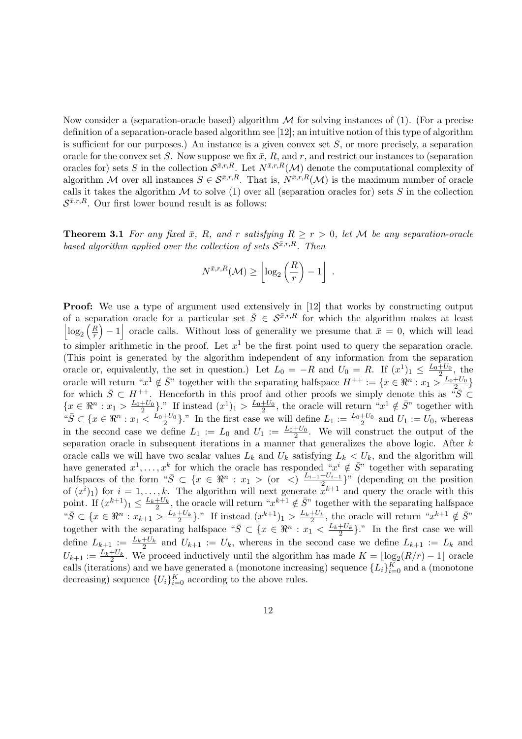Now consider a (separation-oracle based) algorithm  $\mathcal M$  for solving instances of (1). (For a precise definition of a separation-oracle based algorithm see [12]; an intuitive notion of this type of algorithm is sufficient for our purposes.) An instance is a given convex set  $S$ , or more precisely, a separation oracle for the convex set S. Now suppose we fix  $\bar{x}$ , R, and r, and restrict our instances to (separation oracles for) sets S in the collection  $\mathcal{S}^{\bar{x},r,R}$ . Let  $N^{\bar{x},r,R}(\mathcal{M})$  denote the computational complexity of algorithm M over all instances  $S \in \mathcal{S}^{\bar{x},r,R}$ . That is,  $N^{\bar{x},r,R}(\mathcal{M})$  is the maximum number of oracle calls it takes the algorithm  $M$  to solve (1) over all (separation oracles for) sets  $S$  in the collection  $S^{\bar{x},r,R}$ . Our first lower bound result is as follows:

**Theorem 3.1** For any fixed  $\bar{x}$ , R, and r satisfying  $R \ge r > 0$ , let M be any separation-oracle based algorithm applied over the collection of sets  $S^{\bar{x},r,R}$ . Then

$$
N^{\bar{x},r,R}(\mathcal{M}) \ge \left\lfloor \log_2\left(\frac{R}{r}\right) - 1 \right\rfloor .
$$

Proof: We use a type of argument used extensively in [12] that works by constructing output of a separation oracle for a particular set  $\bar{S} \in \mathcal{S}^{\bar{x},r,R}$  for which the algorithm makes at least  $\log_2\left(\frac{R}{r}\right)$  $\left(\frac{R}{r}\right) - 1$  oracle calls. Without loss of generality we presume that  $\bar{x} = 0$ , which will lead to simpler arithmetic in the proof. Let  $x^1$  be the first point used to query the separation oracle. (This point is generated by the algorithm independent of any information from the separation oracle or, equivalently, the set in question.) Let  $L_0 = -R$  and  $U_0 = R$ . If  $(x^1)_1 \leq \frac{L_0 + U_0}{2}$ , the oracle will return " $x^1 \notin \overline{S}$ " together with the separating halfspace  $H^{++} := \{x \in \mathbb{R}^n : x_1 > \frac{L_0 + U_0}{2}\}$ for which  $\overline{S} \subset H^{++}$ . Henceforth in this proof and other proofs we simply denote this as " $\overline{S} \subset$  $\{x \in \Re^n : x_1 > \frac{L_0+U_0}{2}\}$ ." If instead  $(x^1)_1 > \frac{L_0+U_0}{2}$ , the oracle will return " $x^1 \notin \overline{S}$ " together with " $\overline{S} \subset \{x \in \mathbb{R}^n : x_1 \leq \frac{L_0 + U_0}{2}\}$ ." In the first case we will define  $L_1 := \frac{L_0 + U_0}{2}$  and  $U_1 := U_0$ , whereas in the second case we define  $L_1 := L_0$  and  $U_1 := \frac{L_0 + U_0}{2}$ . We will construct the output of the separation oracle in subsequent iterations in a manner that generalizes the above logic. After k oracle calls we will have two scalar values  $L_k$  and  $U_k$  satisfying  $L_k < U_k$ , and the algorithm will have generated  $x^1, \ldots, x^k$  for which the oracle has responded " $x^i \notin \overline{S}$ " together with separating halfspaces of the form " $\bar{S} \subset \{x \in \Re^n : x_1 > \text{ (or } \lt \text{)} \frac{L_{i-1}+U_{i-1}}{2}$  $\frac{+U_{i-1}}{2}$ " (depending on the position of  $(x^{i})_1$ ) for  $i = 1, ..., k$ . The algorithm will next generate  $\bar{x}^{k+1}$  and query the oracle with this point. If  $(x^{k+1})_1 \leq \frac{L_k + U_k}{2}$ , the oracle will return " $x^{k+1} \notin \overline{S}$ " together with the separating halfspace  $\mathbb{E}^s \subseteq \{x \in \Re^n : x_{k+1} > \frac{L_k + U_k}{2}\}$ ." If instead  $(x^{k+1})_1 > \frac{L_k + U_k}{2}$ , the oracle will return " $x^{k+1} \notin \overline{S}$ " together with the separating halfspace " $\bar{S} \subset \{x \in \Re^n : x_1 \leq \frac{L_k+U_k}{2}\}.$ " In the first case we will 2 define  $L_{k+1} := L_k + U_k$  and  $U_{k+1} := U_k$ , whereas in the second case we define  $L_{k+1} := L_k$  and  $U_{k+1} := \frac{L_k + U_k}{2}$ . We proceed inductively until the algorithm has made  $K = \lfloor \log_2(R/r) - 1 \rfloor$  oracle calls (iterations) and we have generated a (monotone increasing) sequence  $\{L_i\}_{i=0}^K$  and a (monotone decreasing) sequence  $\{U_i\}_{i=0}^K$  according to the above rules.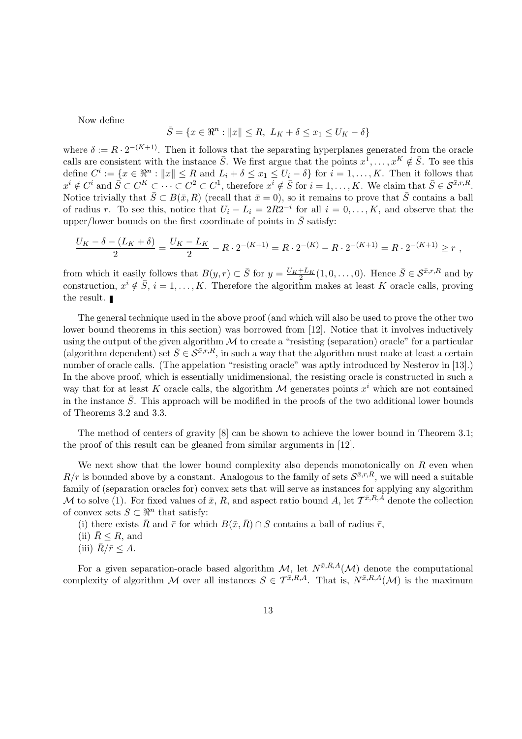Now define

$$
\bar{S} = \{x \in \mathbb{R}^n : ||x|| \le R, \ L_K + \delta \le x_1 \le U_K - \delta\}
$$

where  $\delta := R \cdot 2^{-(K+1)}$ . Then it follows that the separating hyperplanes generated from the oracle calls are consistent with the instance  $\bar{S}$ . We first argue that the points  $x^1, \ldots, x^K \notin \bar{S}$ . To see this define  $C^i := \{x \in \mathbb{R}^n : ||x|| \leq R \text{ and } L_i + \delta \leq x_1 \leq U_i - \delta\}$  for  $i = 1, ..., K$ . Then it follows that  $x^i \notin C^i$  and  $\overline{S} \subset C^K \subset \cdots \subset C^2 \subset C^1$ , therefore  $x^i \notin \overline{S}$  for  $i = 1, \ldots, K$ . We claim that  $\overline{S} \in \mathcal{S}^{\overline{x}, r, R}$ . Notice trivially that  $\bar{S} \subset B(\bar{x}, R)$  (recall that  $\bar{x} = 0$ ), so it remains to prove that  $\bar{S}$  contains a ball of radius r. To see this, notice that  $U_i - L_i = 2R2^{-i}$  for all  $i = 0, ..., K$ , and observe that the upper/lower bounds on the first coordinate of points in  $\overline{S}$  satisfy:

$$
\frac{U_K - \delta - (L_K + \delta)}{2} = \frac{U_K - L_K}{2} - R \cdot 2^{-(K+1)} = R \cdot 2^{-(K)} - R \cdot 2^{-(K+1)} = R \cdot 2^{-(K+1)} \ge r,
$$

from which it easily follows that  $B(y, r) \subset \overline{S}$  for  $y = \frac{U_K + L_K}{2}(1, 0, \ldots, 0)$ . Hence  $\overline{S} \in \mathcal{S}^{\overline{x}, r, R}$  and by construction,  $x^{i} \notin \overline{S}$ ,  $i = 1, ..., K$ . Therefore the algorithm makes at least K oracle calls, proving the result.

The general technique used in the above proof (and which will also be used to prove the other two lower bound theorems in this section) was borrowed from [12]. Notice that it involves inductively using the output of the given algorithm  $\mathcal M$  to create a "resisting (separation) oracle" for a particular (algorithm dependent) set  $\bar{S} \in \mathcal{S}^{\bar{x},r,R}$ , in such a way that the algorithm must make at least a certain number of oracle calls. (The appelation "resisting oracle" was aptly introduced by Nesterov in [13].) In the above proof, which is essentially unidimensional, the resisting oracle is constructed in such a way that for at least K oracle calls, the algorithm  $\mathcal M$  generates points  $x^i$  which are not contained in the instance  $\overline{S}$ . This approach will be modified in the proofs of the two additional lower bounds of Theorems 3.2 and 3.3.

The method of centers of gravity [8] can be shown to achieve the lower bound in Theorem 3.1; the proof of this result can be gleaned from similar arguments in [12].

We next show that the lower bound complexity also depends monotonically on  $R$  even when  $R/r$  is bounded above by a constant. Analogous to the family of sets  $\mathcal{S}^{\bar{x},r,R}$ , we will need a suitable family of (separation oracles for) convex sets that will serve as instances for applying any algorithm M to solve (1). For fixed values of  $\bar{x}$ , R, and aspect ratio bound A, let  $\mathcal{T}^{\bar{x},R,A}$  denote the collection of convex sets  $S \subset \mathbb{R}^n$  that satisfy:

(i) there exists  $\bar{R}$  and  $\bar{r}$  for which  $B(\bar{x}, \bar{R}) \cap S$  contains a ball of radius  $\bar{r}$ ,

- (ii)  $\bar{R} \leq R$ , and
- (iii)  $R/\bar{r} \leq A$ .

For a given separation-oracle based algorithm  $\mathcal{M}$ , let  $N^{\bar{x},R,A}(\mathcal{M})$  denote the computational complexity of algorithm M over all instances  $S \in \mathcal{T}^{\bar{x},R,A}$ . That is,  $N^{\bar{x},R,A}(\mathcal{M})$  is the maximum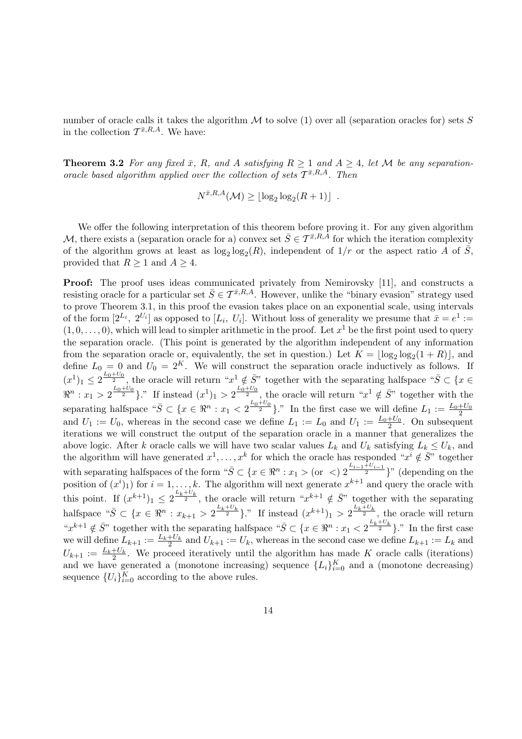number of oracle calls it takes the algorithm  $\mathcal M$  to solve (1) over all (separation oracles for) sets S in the collection  $\mathcal{T}^{\bar{x},R,A}$ . We have:

**Theorem 3.2** For any fixed  $\bar{x}$ , R, and A satisfying  $R \ge 1$  and  $A \ge 4$ , let M be any separationoracle based algorithm applied over the collection of sets  $\mathcal{T}^{\bar{x},R,A}$ . Then

$$
N^{\bar{x},R,A}(\mathcal{M}) \geq \lfloor \log_2 \log_2 (R+1) \rfloor .
$$

We offer the following interpretation of this theorem before proving it. For any given algorithm M, there exists a (separation oracle for a) convex set  $\bar{S} \in \mathcal{T}^{\bar{x},R,A}$  for which the iteration complexity of the algorithm grows at least as  $\log_2 \log_2(R)$ , independent of  $1/r$  or the aspect ratio A of  $\bar{S}$ , provided that  $R \geq 1$  and  $A \geq 4$ .

Proof: The proof uses ideas communicated privately from Nemirovsky [11], and constructs a resisting oracle for a particular set  $\bar{S} \in \mathcal{T}^{\bar{x},R,A}$ . However, unlike the "binary evasion" strategy used to prove Theorem 3.1, in this proof the evasion takes place on an exponential scale, using intervals of the form  $[2^{L_i}, 2^{U_i}]$  as opposed to  $[L_i, U_i]$ . Without loss of generality we presume that  $\bar{x} = e^1 :=$  $(1,0,\ldots,0)$ , which will lead to simpler arithmetic in the proof. Let  $x^1$  be the first point used to query the separation oracle. (This point is generated by the algorithm independent of any information from the separation oracle or, equivalently, the set in question.) Let  $K = \lfloor \log_2 \log_2(1 + R) \rfloor$ , and define  $L_0 = 0$  and  $U_0 = 2^K$ . We will construct the separation oracle inductively as follows. If  $(x^1)_1 \leq 2^{\frac{L_0+U_0}{2}}$ , the oracle will return " $x^1 \notin \overline{S}$ " together with the separating halfspace " $\overline{S} \subset \{x \in S\}$ "  $\Re^n: x_1 > 2^{\frac{L_0+U_0}{2}}$ ." If instead  $(x^1)_1 > 2^{\frac{L_0+U_0}{2}}$ , the oracle will return " $x^1 \notin \overline{S}$ " together with the separating halfspace " $\bar{S} \subset \{x \in \Re^n : x_1 < 2^{\frac{L_0 + U_0}{2}}\}$ ." In the first case we will define  $L_1 := \frac{L_0 + U_0}{2}$ and  $U_1 := U_0$ , whereas in the second case we define  $L_1 := L_0$  and  $U_1 := \frac{L_0 + U_0}{2}$ . On subsequent iterations we will construct the output of the separation oracle in a manner that generalizes the above logic. After k oracle calls we will have two scalar values  $L_k$  and  $U_k$  satisfying  $L_k \le U_k$ , and the algorithm will have generated  $x^1, \ldots, x^k$  for which the oracle has responded " $x^i \notin \overline{S}$ " together with separating halfspaces of the form " $\bar{S} \subset \{x \in \Re^n : x_1 > \text{(or } <) 2^{\frac{L_{i-1}+U_{i-1}}{2}}\}$ " (depending on the position of  $(x^{i})_1$ ) for  $i = 1, ..., k$ . The algorithm will next generate  $x^{k+1}$  and query the oracle with this point. If  $(x^{k+1})_1 \leq 2^{\frac{L_k+U_k}{2}}$ , the oracle will return " $x^{k+1} \notin \overline{S}$ " together with the separating halfspace " $\bar{S} \subset \{x \in \Re^n : x_{k+1} > 2^{\frac{L_k+U_k}{2}}\}$ ." If instead  $(x^{k+1})_1 > 2^{\frac{L_k+U_k}{2}}$ , the oracle will return " $x^{k+1} \notin \bar{S}$ " together with the separating halfspace " $\bar{S} \subset \{x \in \Re^n : x_1 < 2^{\frac{L_k+U_k}{2}}\}$ ." In the first case we will define  $L_{k+1} := \frac{L_k+U_k}{2}$  and  $U_{k+1} := U_k$ , whereas in the second case we define  $L_{k+1} := L_k$  and  $U_{k+1} := \frac{L_k + U_k}{2}$ . We proceed iteratively until the algorithm has made K oracle calls (iterations) and we have generated a (monotone increasing) sequence  ${L_i}_{i=0}^K$  and a (monotone decreasing) sequence  $\{U_i\}_{i=0}^K$  according to the above rules.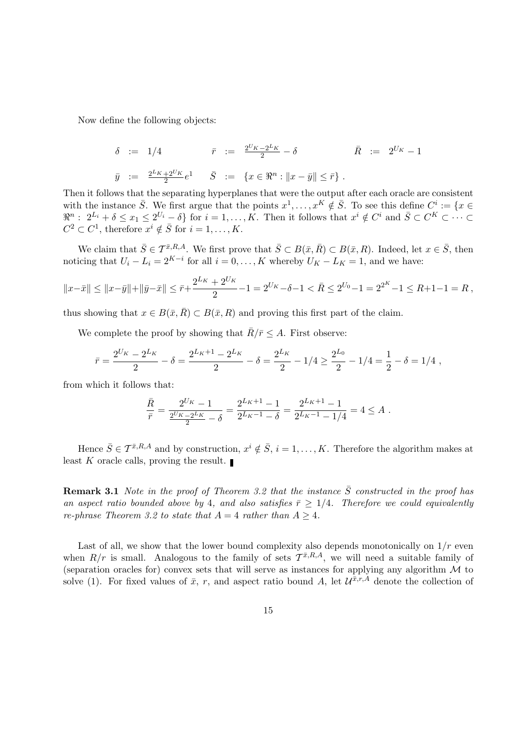Now define the following objects:

$$
\delta := 1/4 \qquad \qquad \bar{r} := \frac{2^{U_K} - 2^{L_K}}{2} - \delta \qquad \qquad \bar{R} := 2^{U_K} - 1
$$
  

$$
\bar{y} := \frac{2^{L_K} + 2^{U_K}}{2} e^1 \qquad \bar{S} := \{x \in \Re^n : ||x - \bar{y}|| \le \bar{r}\}.
$$

Then it follows that the separating hyperplanes that were the output after each oracle are consistent with the instance  $\bar{S}$ . We first argue that the points  $x^1, \ldots, x^K \notin \bar{S}$ . To see this define  $C^i := \{x \in$  $\mathbb{R}^n: 2^{L_i} + \delta \leq x_1 \leq 2^{U_i} - \delta$  for  $i = 1, ..., K$ . Then it follows that  $x^i \notin C^i$  and  $\overline{S} \subset C^K \subset \cdots \subset$  $C^2 \subset C^1$ , therefore  $x^i \notin \overline{S}$  for  $i = 1, \ldots, K$ .

We claim that  $\bar{S} \in \mathcal{T}^{\bar{x},R,A}$ . We first prove that  $\bar{S} \subset B(\bar{x}, \bar{R}) \subset B(\bar{x}, R)$ . Indeed, let  $x \in \bar{S}$ , then noticing that  $U_i - L_i = 2^{K-i}$  for all  $i = 0, ..., K$  whereby  $U_K - L_K = 1$ , and we have:

$$
||x-\bar{x}|| \le ||x-\bar{y}|| + ||\bar{y}-\bar{x}|| \le \bar{r} + \frac{2^{L_K} + 2^{U_K}}{2} - 1 = 2^{U_K} - \delta - 1 < \bar{R} \le 2^{U_0} - 1 = 2^{2^K} - 1 \le R + 1 - 1 = R \,,
$$

thus showing that  $x \in B(\bar{x}, \bar{R}) \subset B(\bar{x}, R)$  and proving this first part of the claim.

We complete the proof by showing that  $\bar{R}/\bar{r} \leq A$ . First observe:

$$
\bar{r} = \frac{2^{U_K} - 2^{L_K}}{2} - \delta = \frac{2^{L_K + 1} - 2^{L_K}}{2} - \delta = \frac{2^{L_K}}{2} - 1/4 \ge \frac{2^{L_0}}{2} - 1/4 = \frac{1}{2} - \delta = 1/4,
$$

from which it follows that:

$$
\frac{\bar{R}}{\bar{r}} = \frac{2^{U_K} - 1}{\frac{2^{U_K} - 2^{L_K}}{2} - \delta} = \frac{2^{L_K + 1} - 1}{2^{L_K - 1} - \delta} = \frac{2^{L_K + 1} - 1}{2^{L_K - 1} - 1/4} = 4 \le A.
$$

Hence  $\bar{S} \in \mathcal{T}^{\bar{x},R,A}$  and by construction,  $x^i \notin \bar{S}$ ,  $i = 1, \ldots, K$ . Therefore the algorithm makes at least K oracle calls, proving the result.

**Remark 3.1** Note in the proof of Theorem 3.2 that the instance  $\overline{S}$  constructed in the proof has an aspect ratio bounded above by 4, and also satisfies  $\bar{r} \geq 1/4$ . Therefore we could equivalently re-phrase Theorem 3.2 to state that  $A = 4$  rather than  $A > 4$ .

Last of all, we show that the lower bound complexity also depends monotonically on  $1/r$  even when  $R/r$  is small. Analogous to the family of sets  $\mathcal{T}^{\bar{x},R,A}$ , we will need a suitable family of (separation oracles for) convex sets that will serve as instances for applying any algorithm  $\mathcal M$  to solve (1). For fixed values of  $\bar{x}$ , r, and aspect ratio bound A, let  $\mathcal{U}^{\bar{x},r,A}$  denote the collection of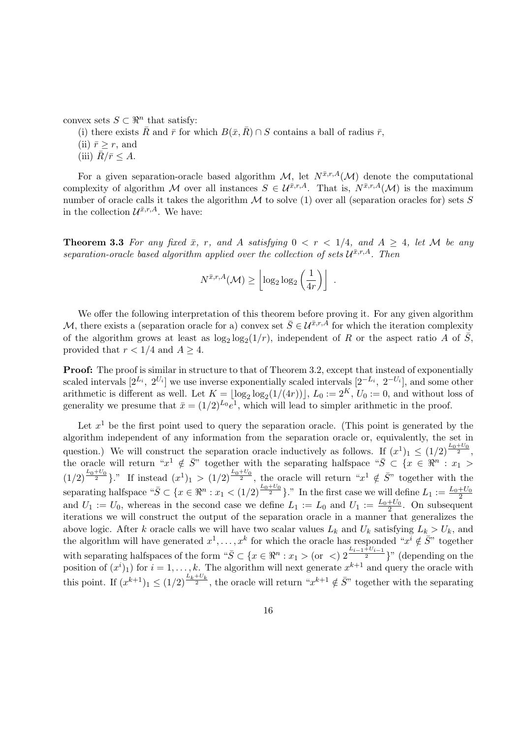convex sets  $S \subset \mathbb{R}^n$  that satisfy:

(i) there exists  $\bar{R}$  and  $\bar{r}$  for which  $B(\bar{x}, \bar{R}) \cap S$  contains a ball of radius  $\bar{r}$ ,

(ii)  $\bar{r} \geq r$ , and

(iii)  $\bar{R}/\bar{r} \leq A$ .

For a given separation-oracle based algorithm  $\mathcal{M}$ , let  $N^{\bar{x},r,A}(\mathcal{M})$  denote the computational complexity of algorithm M over all instances  $S \in \mathcal{U}^{\bar{x},r,A}$ . That is,  $N^{\bar{x},r,A}(\mathcal{M})$  is the maximum number of oracle calls it takes the algorithm  $M$  to solve (1) over all (separation oracles for) sets  $S$ in the collection  $\mathcal{U}^{\bar{x},r,A}$ . We have:

**Theorem 3.3** For any fixed  $\bar{x}$ , r, and A satisfying  $0 < r < 1/4$ , and  $A \geq 4$ , let M be any separation-oracle based algorithm applied over the collection of sets  $\mathcal{U}^{\bar{x},r,A}$ . Then

$$
N^{\bar{x},r,A}(\mathcal{M}) \ge \left\lfloor \log_2 \log_2 \left(\frac{1}{4r}\right) \right\rfloor .
$$

We offer the following interpretation of this theorem before proving it. For any given algorithm M, there exists a (separation oracle for a) convex set  $\bar{S} \in \mathcal{U}^{\bar{x},r,A}$  for which the iteration complexity of the algorithm grows at least as  $\log_2 \log_2(1/r)$ , independent of R or the aspect ratio A of  $\overline{S}$ , provided that  $r < 1/4$  and  $A \geq 4$ .

**Proof:** The proof is similar in structure to that of Theorem 3.2, except that instead of exponentially scaled intervals  $[2^{L_i}, 2^{U_i}]$  we use inverse exponentially scaled intervals  $[2^{-L_i}, 2^{-U_i}]$ , and some other arithmetic is different as well. Let  $K = \lfloor \log_2 \log_2(1/(4r)) \rfloor$ ,  $L_0 := 2^K$ ,  $U_0 := 0$ , and without loss of generality we presume that  $\bar{x} = (1/2)^{L_0} e^1$ , which will lead to simpler arithmetic in the proof.

Let  $x<sup>1</sup>$  be the first point used to query the separation oracle. (This point is generated by the algorithm independent of any information from the separation oracle or, equivalently, the set in question.) We will construct the separation oracle inductively as follows. If  $(x^1)_1 \leq (1/2)^{\frac{L_0+U_0}{2}}$ , the oracle will return " $x^1 \notin \bar{S}$ " together with the separating halfspace " $\bar{S} \subset \{x \in \Re^n : x_1 >$  $(1/2)^{\frac{L_0+U_0}{2}}$ ." If instead  $(x^1)_1 > (1/2)^{\frac{L_0+U_0}{2}}$ , the oracle will return " $x^1 \notin \overline{S}$ " together with the separating halfspace " $\bar{S} \subset \{x \in \Re^n : x_1 < (1/2)^{\frac{L_0 + U_0}{2}}\}$ ." In the first case we will define  $L_1 := \frac{L_0 + U_0}{2}$ and  $U_1 := U_0$ , whereas in the second case we define  $L_1 := L_0$  and  $U_1 := \frac{L_0 + U_0}{2}$ . On subsequent iterations we will construct the output of the separation oracle in a manner that generalizes the above logic. After k oracle calls we will have two scalar values  $L_k$  and  $U_k$  satisfying  $L_k > U_k$ , and the algorithm will have generated  $x^1, \ldots, x^k$  for which the oracle has responded " $x^i \notin \overline{S}$ " together with separating halfspaces of the form " $\bar{S} \subset \{x \in \Re^n : x_1 > (or \leq x_1)^{\frac{L_{i-1}+U_{i-1}}{2}}\}$ " (depending on the position of  $(x^{i})_1$  for  $i = 1, ..., k$ . The algorithm will next generate  $x^{k+1}$  and query the oracle with this point. If  $(x^{k+1})_1 \leq (1/2)^{\frac{L_k+U_k}{2}}$ , the oracle will return " $x^{k+1} \notin \bar{S}$ " together with the separating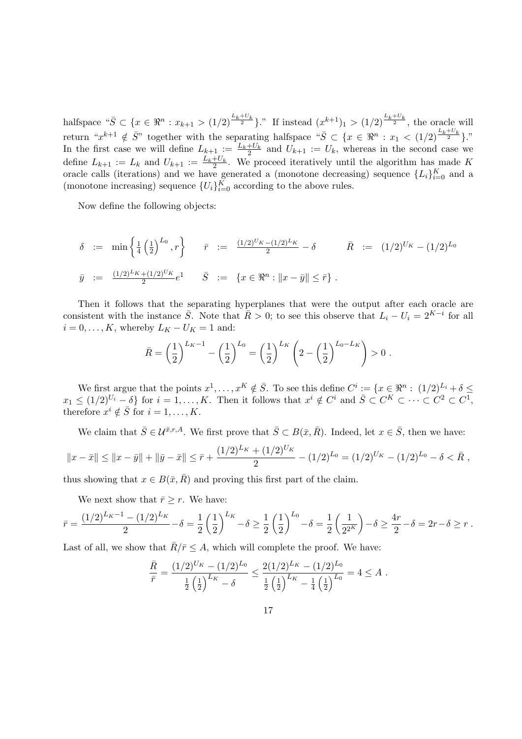halfspace " $\bar{S} \subset \{x \in \Re^n : x_{k+1} > (1/2)^{\frac{L_k + U_k}{2}}\}$ ." If instead  $(x^{k+1})_1 > (1/2)^{\frac{L_k + U_k}{2}}$ , the oracle will return " $x^{k+1} \notin \overline{S}$ " together with the separating halfspace " $\overline{S} \subset \{x \in \Re^n : x_1 \leq (1/2)^{\frac{L_k+U_k}{2}}\}$ ." In the first case we will define  $L_{k+1} := L_{k} + U_{k}$  and  $U_{k+1} := U_{k}$ , whereas in the second case we define  $L_{k+1} := L_k$  and  $U_{k+1} := \frac{L_k + U_k}{2}$ . We proceed iteratively until the algorithm has made K oracle calls (iterations) and we have generated a (monotone decreasing) sequence  $\{L_i\}_{i=0}^K$  and a (monotone increasing) sequence  $\{U_i\}_{i=0}^K$  according to the above rules.

Now define the following objects:

$$
\delta := \min\left\{\frac{1}{4}\left(\frac{1}{2}\right)^{L_0}, r\right\} \qquad \bar{r} := \frac{(1/2)^{U_K} - (1/2)^{L_K}}{2} - \delta \qquad \bar{R} := (1/2)^{U_K} - (1/2)^{L_0}
$$
  

$$
\bar{y} := \frac{(1/2)^{L_K} + (1/2)^{U_K}}{2}e^1 \qquad \bar{S} := \left\{x \in \Re^n : ||x - \bar{y}|| \le \bar{r}\right\}.
$$

Then it follows that the separating hyperplanes that were the output after each oracle are consistent with the instance  $\bar{S}$ . Note that  $\bar{R} > 0$ ; to see this observe that  $L_i - U_i = 2^{K-i}$  for all  $i = 0, \ldots, K$ , whereby  $L_K - U_K = 1$  and:

$$
\bar{R} = \left(\frac{1}{2}\right)^{L_K - 1} - \left(\frac{1}{2}\right)^{L_0} = \left(\frac{1}{2}\right)^{L_K} \left(2 - \left(\frac{1}{2}\right)^{L_0 - L_K}\right) > 0.
$$

We first argue that the points  $x^1, \ldots, x^K \notin \overline{S}$ . To see this define  $C^i := \{x \in \Re^n : (1/2)^{L_i} + \delta \leq \overline{S} \}$  $x_1 \leq (1/2)^{U_i} - \delta$  for  $i = 1, ..., K$ . Then it follows that  $x^i \notin C^i$  and  $\overline{S} \subset C^K \subset \cdots \subset C^2 \subset C^1$ , therefore  $x^i \notin \overline{S}$  for  $i = 1, ..., K$ .

We claim that  $\bar{S} \in \mathcal{U}^{\bar{x},r,A}$ . We first prove that  $\bar{S} \subset B(\bar{x}, \bar{R})$ . Indeed, let  $x \in \bar{S}$ , then we have:

$$
||x - \bar{x}|| \le ||x - \bar{y}|| + ||\bar{y} - \bar{x}|| \le \bar{r} + \frac{(1/2)^{L_K} + (1/2)^{U_K}}{2} - (1/2)^{L_0} = (1/2)^{U_K} - (1/2)^{L_0} - \delta < \bar{R},
$$

thus showing that  $x \in B(\bar{x}, \bar{R})$  and proving this first part of the claim.

We next show that  $\bar{r} \geq r$ . We have:

$$
\bar{r} = \frac{(1/2)^{L_K - 1} - (1/2)^{L_K}}{2} - \delta = \frac{1}{2} \left(\frac{1}{2}\right)^{L_K} - \delta \ge \frac{1}{2} \left(\frac{1}{2}\right)^{L_0} - \delta = \frac{1}{2} \left(\frac{1}{2^{2^K}}\right) - \delta \ge \frac{4r}{2} - \delta = 2r - \delta \ge r.
$$

Last of all, we show that  $\bar{R}/\bar{r} \leq A$ , which will complete the proof. We have:

$$
\frac{\bar{R}}{\bar{r}} = \frac{(1/2)^{U_K} - (1/2)^{L_0}}{\frac{1}{2} (\frac{1}{2})^{L_K} - \delta} \le \frac{2(1/2)^{L_K} - (1/2)^{L_0}}{\frac{1}{2} (\frac{1}{2})^{L_K} - \frac{1}{4} (\frac{1}{2})^{L_0}} = 4 \le A.
$$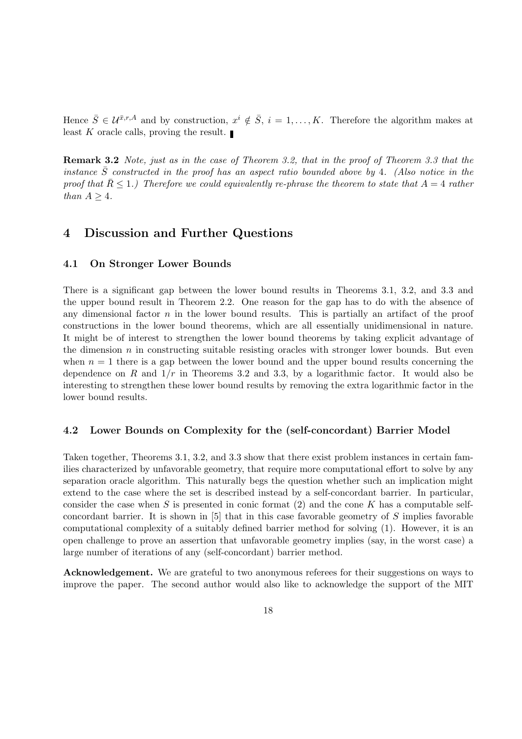Hence  $\bar{S} \in \mathcal{U}^{\bar{x},r,A}$  and by construction,  $x^i \notin \bar{S}$ ,  $i = 1,\ldots,K$ . Therefore the algorithm makes at least K oracle calls, proving the result.

Remark 3.2 Note, just as in the case of Theorem 3.2, that in the proof of Theorem 3.3 that the instance  $\overline{S}$  constructed in the proof has an aspect ratio bounded above by 4. (Also notice in the proof that  $\bar{R} \leq 1$ .) Therefore we could equivalently re-phrase the theorem to state that  $A = 4$  rather than  $A \geq 4$ .

## 4 Discussion and Further Questions

### 4.1 On Stronger Lower Bounds

There is a significant gap between the lower bound results in Theorems 3.1, 3.2, and 3.3 and the upper bound result in Theorem 2.2. One reason for the gap has to do with the absence of any dimensional factor  $n$  in the lower bound results. This is partially an artifact of the proof constructions in the lower bound theorems, which are all essentially unidimensional in nature. It might be of interest to strengthen the lower bound theorems by taking explicit advantage of the dimension  $n$  in constructing suitable resisting oracles with stronger lower bounds. But even when  $n = 1$  there is a gap between the lower bound and the upper bound results concerning the dependence on R and  $1/r$  in Theorems 3.2 and 3.3, by a logarithmic factor. It would also be interesting to strengthen these lower bound results by removing the extra logarithmic factor in the lower bound results.

#### 4.2 Lower Bounds on Complexity for the (self-concordant) Barrier Model

Taken together, Theorems 3.1, 3.2, and 3.3 show that there exist problem instances in certain families characterized by unfavorable geometry, that require more computational effort to solve by any separation oracle algorithm. This naturally begs the question whether such an implication might extend to the case where the set is described instead by a self-concordant barrier. In particular, consider the case when S is presented in conic format  $(2)$  and the cone K has a computable selfconcordant barrier. It is shown in  $[5]$  that in this case favorable geometry of S implies favorable computational complexity of a suitably defined barrier method for solving (1). However, it is an open challenge to prove an assertion that unfavorable geometry implies (say, in the worst case) a large number of iterations of any (self-concordant) barrier method.

Acknowledgement. We are grateful to two anonymous referees for their suggestions on ways to improve the paper. The second author would also like to acknowledge the support of the MIT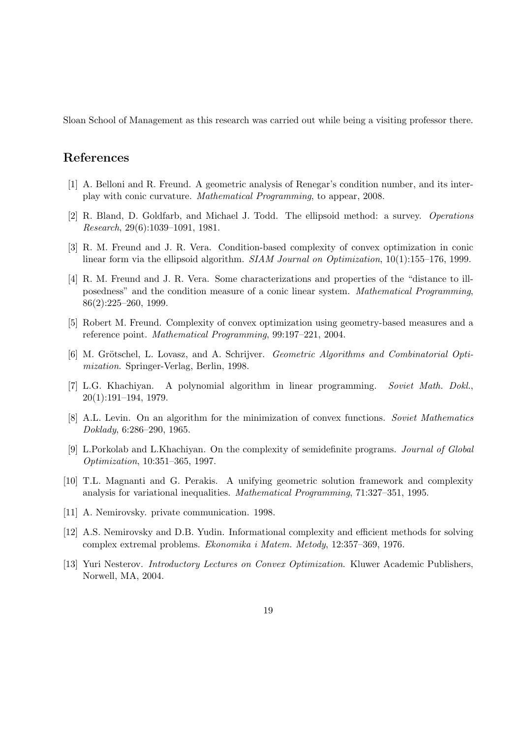Sloan School of Management as this research was carried out while being a visiting professor there.

## References

- [1] A. Belloni and R. Freund. A geometric analysis of Renegar's condition number, and its interplay with conic curvature. Mathematical Programming, to appear, 2008.
- [2] R. Bland, D. Goldfarb, and Michael J. Todd. The ellipsoid method: a survey. Operations Research, 29(6):1039–1091, 1981.
- [3] R. M. Freund and J. R. Vera. Condition-based complexity of convex optimization in conic linear form via the ellipsoid algorithm. SIAM Journal on Optimization, 10(1):155–176, 1999.
- [4] R. M. Freund and J. R. Vera. Some characterizations and properties of the "distance to illposedness" and the condition measure of a conic linear system. Mathematical Programming, 86(2):225–260, 1999.
- [5] Robert M. Freund. Complexity of convex optimization using geometry-based measures and a reference point. Mathematical Programming, 99:197–221, 2004.
- [6] M. Grötschel, L. Lovasz, and A. Schrijver. *Geometric Algorithms and Combinatorial Opti*mization. Springer-Verlag, Berlin, 1998.
- [7] L.G. Khachiyan. A polynomial algorithm in linear programming. Soviet Math. Dokl., 20(1):191–194, 1979.
- [8] A.L. Levin. On an algorithm for the minimization of convex functions. Soviet Mathematics Doklady, 6:286–290, 1965.
- [9] L.Porkolab and L.Khachiyan. On the complexity of semidefinite programs. Journal of Global Optimization, 10:351–365, 1997.
- [10] T.L. Magnanti and G. Perakis. A unifying geometric solution framework and complexity analysis for variational inequalities. Mathematical Programming, 71:327–351, 1995.
- [11] A. Nemirovsky. private communication. 1998.
- [12] A.S. Nemirovsky and D.B. Yudin. Informational complexity and efficient methods for solving complex extremal problems. Ekonomika i Matem. Metody, 12:357–369, 1976.
- [13] Yuri Nesterov. Introductory Lectures on Convex Optimization. Kluwer Academic Publishers, Norwell, MA, 2004.